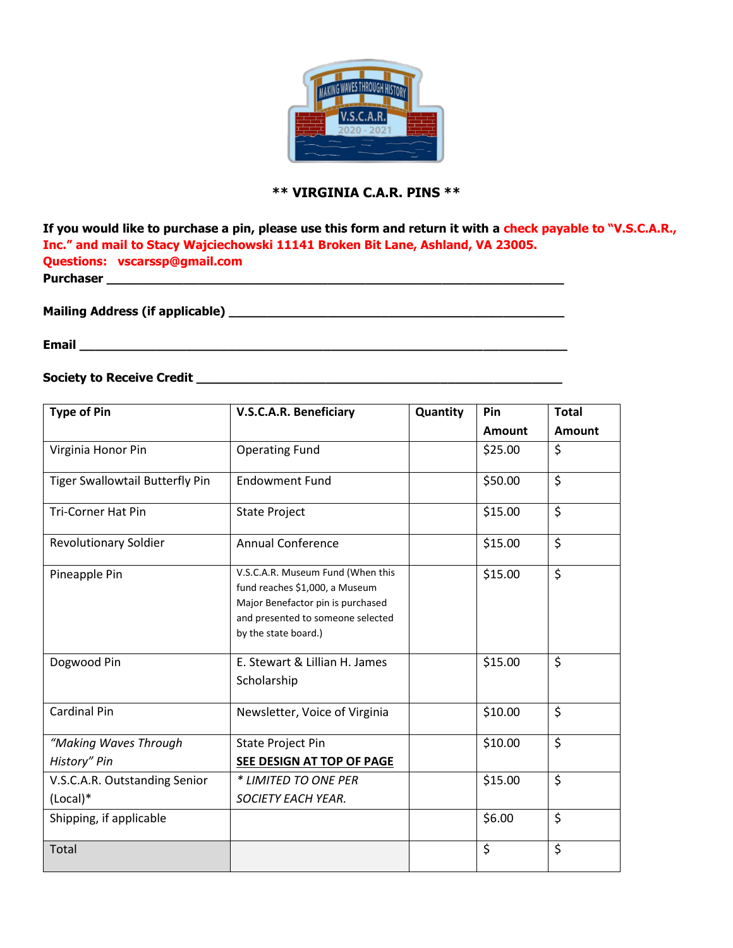

## **\*\* VIRGINIA C.A.R. PINS \*\***

**If you would like to purchase a pin, please use this form and return it with a check payable to "V.S.C.A.R., Inc." and mail to Stacy Wajciechowski 11141 Broken Bit Lane, Ashland, VA 23005. Questions: vscarssp@gmail.com Purchaser \_\_\_\_\_\_\_\_\_\_\_\_\_\_\_\_\_\_\_\_\_\_\_\_\_\_\_\_\_\_\_\_\_\_\_\_\_\_\_\_\_\_\_\_\_\_\_\_\_\_\_\_\_\_\_\_\_\_\_\_**

**Mailing Address (if applicable) \_\_\_\_\_\_\_\_\_\_\_\_\_\_\_\_\_\_\_\_\_\_\_\_\_\_\_\_\_\_\_\_\_\_\_\_\_\_\_\_\_\_\_\_**

**Email \_\_\_\_\_\_\_\_\_\_\_\_\_\_\_\_\_\_\_\_\_\_\_\_\_\_\_\_\_\_\_\_\_\_\_\_\_\_\_\_\_\_\_\_\_\_\_\_\_\_\_\_\_\_\_\_\_\_\_\_\_\_\_\_**

## **Society to Receive Credit \_\_\_\_\_\_\_\_\_\_\_\_\_\_\_\_\_\_\_\_\_\_\_\_\_\_\_\_\_\_\_\_\_\_\_\_\_\_\_\_\_\_\_\_\_\_\_\_**

| <b>Type of Pin</b>              | <b>V.S.C.A.R. Beneficiary</b>                                                                                                                                         | Quantity | Pin           | <b>Total</b>             |
|---------------------------------|-----------------------------------------------------------------------------------------------------------------------------------------------------------------------|----------|---------------|--------------------------|
|                                 |                                                                                                                                                                       |          | <b>Amount</b> | Amount                   |
| Virginia Honor Pin              | <b>Operating Fund</b>                                                                                                                                                 |          | \$25.00       | \$                       |
| Tiger Swallowtail Butterfly Pin | <b>Endowment Fund</b>                                                                                                                                                 |          | \$50.00       | $\overline{\mathcal{S}}$ |
| <b>Tri-Corner Hat Pin</b>       | <b>State Project</b>                                                                                                                                                  |          | \$15.00       | \$                       |
| <b>Revolutionary Soldier</b>    | <b>Annual Conference</b>                                                                                                                                              |          | \$15.00       | \$                       |
| Pineapple Pin                   | V.S.C.A.R. Museum Fund (When this<br>fund reaches \$1,000, a Museum<br>Major Benefactor pin is purchased<br>and presented to someone selected<br>by the state board.) |          | \$15.00       | \$                       |
| Dogwood Pin                     | E. Stewart & Lillian H. James<br>Scholarship                                                                                                                          |          | \$15.00       | \$                       |
| <b>Cardinal Pin</b>             | Newsletter, Voice of Virginia                                                                                                                                         |          | \$10.00       | \$                       |
| "Making Waves Through           | State Project Pin                                                                                                                                                     |          | \$10.00       | \$                       |
| History" Pin                    | SEE DESIGN AT TOP OF PAGE                                                                                                                                             |          |               |                          |
| V.S.C.A.R. Outstanding Senior   | * LIMITED TO ONE PER                                                                                                                                                  |          | \$15.00       | \$                       |
| $(Local)*$                      | <b>SOCIETY EACH YEAR.</b>                                                                                                                                             |          |               |                          |
| Shipping, if applicable         |                                                                                                                                                                       |          | \$6.00        | \$                       |
| Total                           |                                                                                                                                                                       |          | \$            | \$                       |